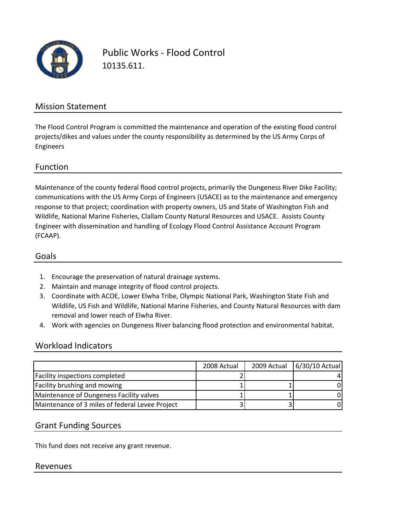

Public Works ‐ Flood Control 10135.611.

### Mission Statement

The Flood Control Program is committed the maintenance and operation of the existing flood control projects/dikes and values under the county responsibility as determined by the US Army Corps of Engineers

### Function

Maintenance of the county federal flood control projects, primarily the Dungeness River Dike Facility; communications with the US Army Corps of Engineers (USACE) as to the maintenance and emergency response to that project; coordination with property owners, US and State of Washington Fish and Wildlife, National Marine Fisheries, Clallam County Natural Resources and USACE. Assists County Engineer with dissemination and handling of Ecology Flood Control Assistance Account Program (FCAAP).

#### Goals

- 1. Encourage the preservation of natural drainage systems.
- 2. Maintain and manage integrity of flood control projects.
- 3. Coordinate with ACOE, Lower Elwha Tribe, Olympic National Park, Washington State Fish and Wildlife, US Fish and Wildlife, National Marine Fisheries, and County Natural Resources with dam removal and lower reach of Elwha River.
- 4. Work with agencies on Dungeness River balancing flood protection and environmental habitat.

### Workload Indicators

|                                                 | 2008 Actual | 2009 Actual | 6/30/10 Actual |
|-------------------------------------------------|-------------|-------------|----------------|
| Facility inspections completed                  |             |             |                |
| <b>Facility brushing and mowing</b>             |             |             |                |
| Maintenance of Dungeness Facility valves        |             |             |                |
| Maintenance of 3 miles of federal Levee Project |             |             |                |

### Grant Funding Sources

This fund does not receive any grant revenue.

#### Revenues